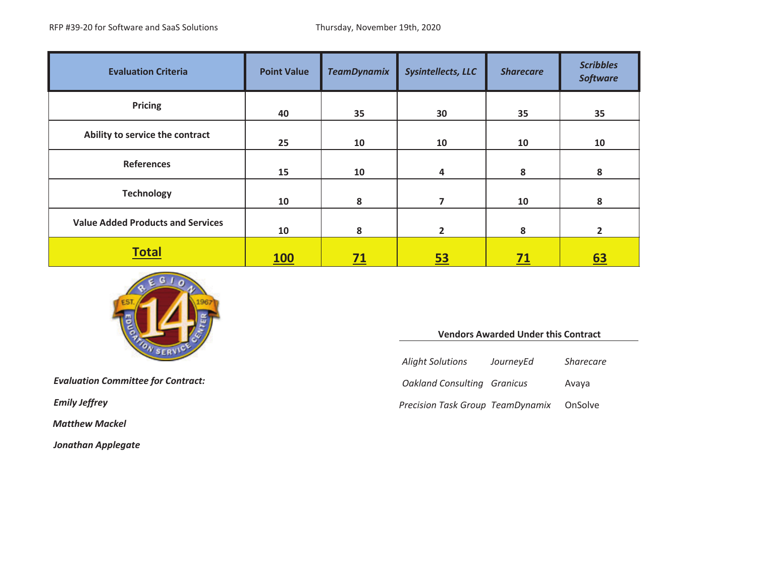| <b>Evaluation Criteria</b>               | <b>Point Value</b> | <b>TeamDynamix</b> | <b>Sysintellects, LLC</b> | <b>Sharecare</b> | <b>Scribbles</b><br><b>Software</b> |
|------------------------------------------|--------------------|--------------------|---------------------------|------------------|-------------------------------------|
| Pricing                                  | 40                 | 35                 | 30                        | 35               | 35                                  |
| Ability to service the contract          | 25                 | 10                 | 10                        | 10               | 10                                  |
| <b>References</b>                        | 15                 | 10                 | 4                         | 8                | 8                                   |
| <b>Technology</b>                        | 10                 | 8                  | 7                         | 10               | 8                                   |
| <b>Value Added Products and Services</b> | 10                 | 8                  | $\overline{2}$            | 8                | $\overline{2}$                      |
| <b>Total</b>                             | <b>100</b>         | 71                 | <u>53</u>                 | <u>71</u>        | <u>63</u>                           |



*Evaluation Committee for Contract: Oakland*

 $E$ *mily Jeffrey* 

*Matthew Mackel*

*Jonathan Applegate*

#### **Vendors Awarded Under this Contract**

| <b>Alight Solutions</b>            | JourneyEd | <b>Sharecare</b> |
|------------------------------------|-----------|------------------|
| <b>Oakland Consulting Granicus</b> |           | Avaya            |
| Precision Task Group TeamDynamix   |           | OnSolve          |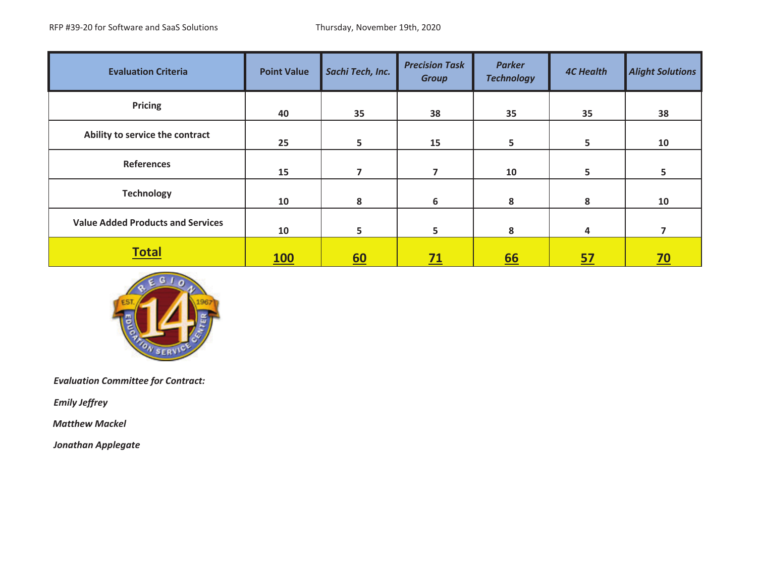| <b>Evaluation Criteria</b>               | <b>Point Value</b> | Sachi Tech, Inc. | <b>Precision Task</b><br><b>Group</b> | <b>Parker</b><br><b>Technology</b> | <b>4C Health</b> | <b>Alight Solutions</b> |
|------------------------------------------|--------------------|------------------|---------------------------------------|------------------------------------|------------------|-------------------------|
| Pricing                                  | 40                 | 35               | 38                                    | 35                                 | 35               | 38                      |
| Ability to service the contract          | 25                 | 5                | 15                                    | 5                                  | 5                | 10                      |
| <b>References</b>                        | 15                 | 7                | 7                                     | 10                                 | 5                | 5                       |
| <b>Technology</b>                        | 10                 | 8                | 6                                     | 8                                  | 8                | 10                      |
| <b>Value Added Products and Services</b> | 10                 | 5                | 5                                     | 8                                  | 4                | 7                       |
| <b>Total</b>                             | <b>100</b>         | 60               | <u>71</u>                             | <u>66</u>                          | <u>57</u>        | <u>70</u>               |



*Emily Jeffrey*

*Matthew Mackel*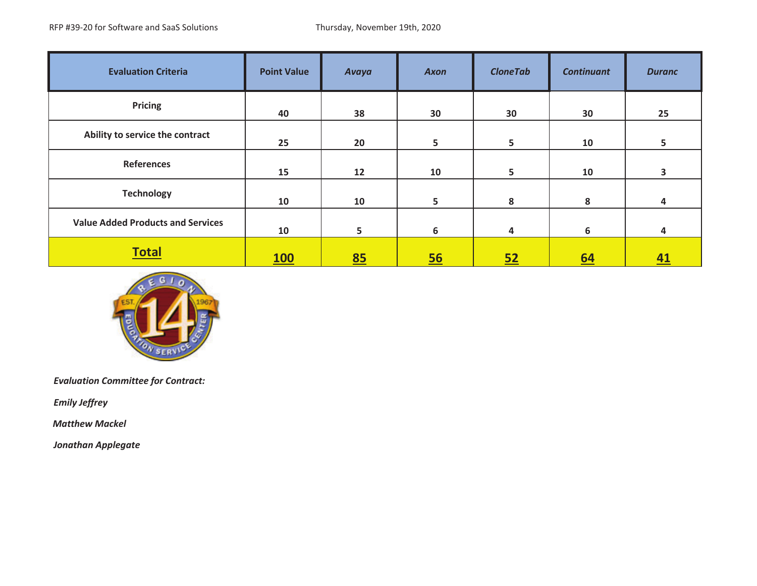| <b>Evaluation Criteria</b>               | <b>Point Value</b> | Avaya             | <b>Axon</b>    | <b>CloneTab</b> | <b>Continuant</b> | <b>Duranc</b>    |
|------------------------------------------|--------------------|-------------------|----------------|-----------------|-------------------|------------------|
| <b>Pricing</b>                           | 40                 | 38                | 30             | 30              | 30                | 25               |
| Ability to service the contract          | 25                 | 20                | 5 <sub>5</sub> | 5               | 10                | 5 <sup>5</sup>   |
| <b>References</b>                        | 15                 | $12 \overline{ }$ | 10             | 5               | 10                | 3                |
| <b>Technology</b>                        | 10                 | 10                | 5              | 8               | 8                 | 4                |
| <b>Value Added Products and Services</b> | 10                 | 5                 | 6              | 4               | 6                 | 4                |
| <b>Total</b>                             | <b>100</b>         | 85                | 56             | 52              | 64                | $\underline{41}$ |



*Emily Jeffrey*

*Matthew Mackel*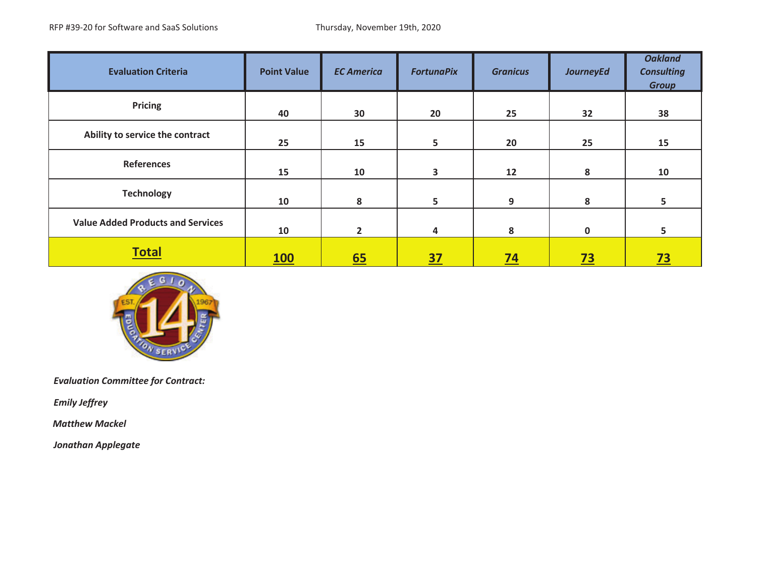| <b>Evaluation Criteria</b>               | <b>Point Value</b> | <b>EC America</b> | <b>FortunaPix</b> | <b>Granicus</b> | <b>JourneyEd</b> | <b>Oakland</b><br><b>Consulting</b><br><b>Group</b> |
|------------------------------------------|--------------------|-------------------|-------------------|-----------------|------------------|-----------------------------------------------------|
| <b>Pricing</b>                           | 40                 | 30                | 20                | 25              | 32               | 38                                                  |
| Ability to service the contract          | 25                 | 15                | 5                 | 20              | 25               | 15                                                  |
| <b>References</b>                        | 15                 | 10                | 3                 | 12              | 8                | 10                                                  |
| <b>Technology</b>                        | 10                 | 8                 | 5                 | 9               | 8                | 5                                                   |
| <b>Value Added Products and Services</b> | 10                 | $\overline{2}$    | 4                 | 8               | 0                | 5                                                   |
| <b>Total</b>                             | <b>100</b>         | 65                | <u>37</u>         | <u>74</u>       | <u>73</u>        | $\overline{23}$                                     |



*Emily Jeffrey*

*Matthew Mackel*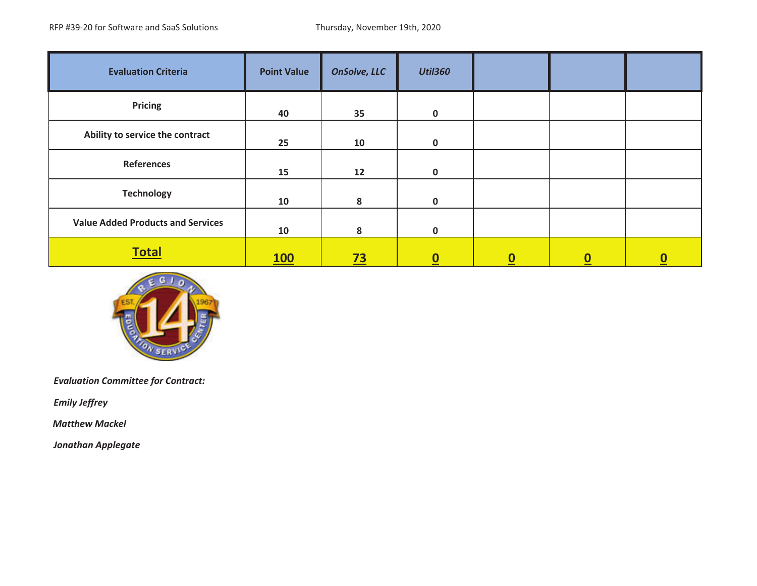| <b>Evaluation Criteria</b>               | <b>Point Value</b> | <b>OnSolve, LLC</b> | <b>Util360</b>           |          |                  |          |
|------------------------------------------|--------------------|---------------------|--------------------------|----------|------------------|----------|
| <b>Pricing</b>                           | 40                 | 35                  | $\mathbf 0$              |          |                  |          |
| Ability to service the contract          | 25                 | 10                  | $\mathbf{0}$             |          |                  |          |
| <b>References</b>                        | 15                 | 12                  | $\mathbf 0$              |          |                  |          |
| <b>Technology</b>                        | 10                 | 8                   | $\mathbf 0$              |          |                  |          |
| <b>Value Added Products and Services</b> | 10                 | 8                   | $\mathbf 0$              |          |                  |          |
| <b>Total</b>                             | <b>100</b>         | <u>73</u>           | $\underline{\mathbf{0}}$ | <u>0</u> | $\boldsymbol{0}$ | <u>၀</u> |



*Emily Jeffrey*

*Matthew Mackel*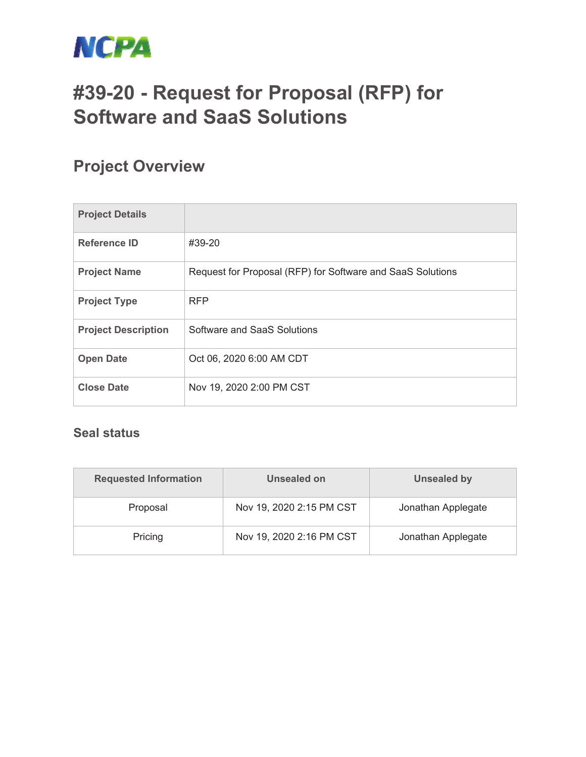

# **#39-20 - Request for Proposal (RFP) for Software and SaaS Solutions**

### **Project Overview**

| <b>Project Details</b>     |                                                            |
|----------------------------|------------------------------------------------------------|
| <b>Reference ID</b>        | #39-20                                                     |
| <b>Project Name</b>        | Request for Proposal (RFP) for Software and SaaS Solutions |
| <b>Project Type</b>        | <b>RFP</b>                                                 |
| <b>Project Description</b> | Software and SaaS Solutions                                |
| <b>Open Date</b>           | Oct 06, 2020 6:00 AM CDT                                   |
| <b>Close Date</b>          | Nov 19, 2020 2:00 PM CST                                   |

#### **Seal status**

| <b>Requested Information</b> | Unsealed on              | <b>Unsealed by</b> |
|------------------------------|--------------------------|--------------------|
| Proposal                     | Nov 19, 2020 2:15 PM CST | Jonathan Applegate |
| Pricing                      | Nov 19, 2020 2:16 PM CST | Jonathan Applegate |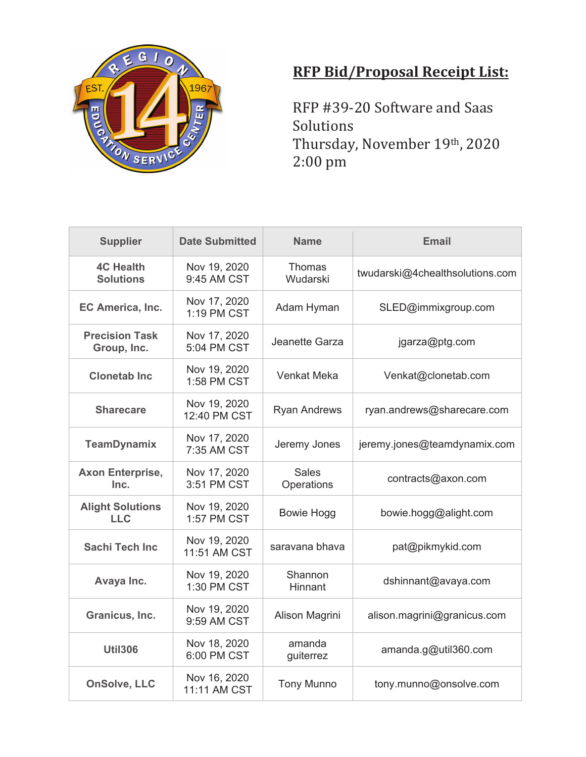

## **RFP Bid/Proposal Receipt List:**

RFP #39-20 Software and Saas Solutions Thursday, November 19th, 2020 2:00 pm

| <b>Supplier</b>                       | <b>Date Submitted</b>        | <b>Name</b>                | Email                           |
|---------------------------------------|------------------------------|----------------------------|---------------------------------|
| <b>4C Health</b><br><b>Solutions</b>  | Nov 19, 2020<br>9:45 AM CST  | <b>Thomas</b><br>Wudarski  | twudarski@4chealthsolutions.com |
| EC America, Inc.                      | Nov 17, 2020<br>1:19 PM CST  | Adam Hyman                 | SLED@immixgroup.com             |
| <b>Precision Task</b><br>Group, Inc.  | Nov 17, 2020<br>5:04 PM CST  | Jeanette Garza             | jgarza@ptg.com                  |
| <b>Clonetab Inc.</b>                  | Nov 19, 2020<br>1:58 PM CST  | <b>Venkat Meka</b>         | Venkat@clonetab.com             |
| <b>Sharecare</b>                      | Nov 19, 2020<br>12:40 PM CST | <b>Ryan Andrews</b>        | ryan.andrews@sharecare.com      |
| <b>TeamDynamix</b>                    | Nov 17, 2020<br>7:35 AM CST  | Jeremy Jones               | jeremy.jones@teamdynamix.com    |
| <b>Axon Enterprise,</b><br>Inc.       | Nov 17, 2020<br>3:51 PM CST  | <b>Sales</b><br>Operations | contracts@axon.com              |
| <b>Alight Solutions</b><br><b>LLC</b> | Nov 19, 2020<br>1:57 PM CST  | <b>Bowie Hogg</b>          | bowie.hogg@alight.com           |
| <b>Sachi Tech Inc.</b>                | Nov 19, 2020<br>11:51 AM CST | saravana bhava             | pat@pikmykid.com                |
| Avaya Inc.                            | Nov 19, 2020<br>1:30 PM CST  | Shannon<br>Hinnant         | dshinnant@avaya.com             |
| Granicus, Inc.                        | Nov 19, 2020<br>9:59 AM CST  | Alison Magrini             | alison.magrini@granicus.com     |
| <b>Util306</b>                        | Nov 18, 2020<br>6:00 PM CST  | amanda<br>guiterrez        | amanda.g@util360.com            |
| <b>OnSolve, LLC</b>                   | Nov 16, 2020<br>11:11 AM CST | <b>Tony Munno</b>          | tony.munno@onsolve.com          |